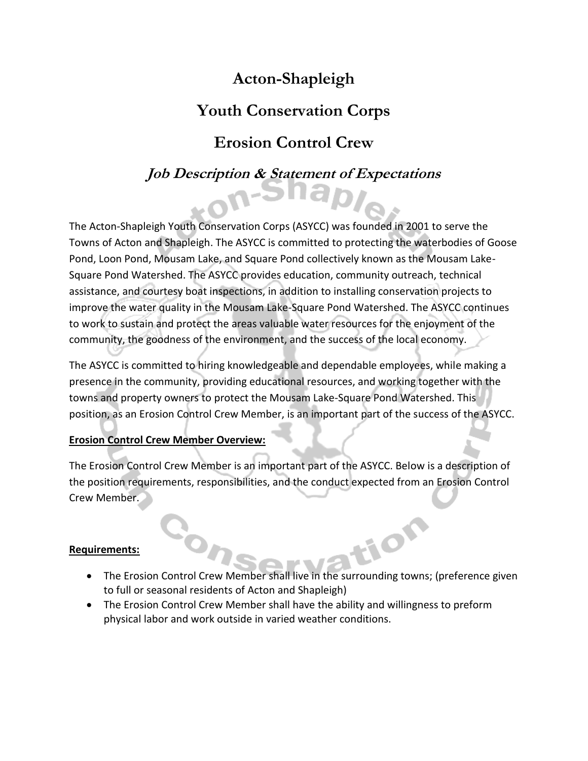# **Acton-Shapleigh**

# **Youth Conservation Corps**

# **Erosion Control Crew**

## **Job Description & Statement of Expectations**

The Acton-Shapleigh Youth Conservation Corps (ASYCC) was founded in 2001 to serve the Towns of Acton and Shapleigh. The ASYCC is committed to protecting the waterbodies of Goose Pond, Loon Pond, Mousam Lake, and Square Pond collectively known as the Mousam Lake-Square Pond Watershed. The ASYCC provides education, community outreach, technical assistance, and courtesy boat inspections, in addition to installing conservation projects to improve the water quality in the Mousam Lake-Square Pond Watershed. The ASYCC continues to work to sustain and protect the areas valuable water resources for the enjoyment of the community, the goodness of the environment, and the success of the local economy.

The ASYCC is committed to hiring knowledgeable and dependable employees, while making a presence in the community, providing educational resources, and working together with the towns and property owners to protect the Mousam Lake-Square Pond Watershed. This position, as an Erosion Control Crew Member, is an important part of the success of the ASYCC.

### **Erosion Control Crew Member Overview:**

The Erosion Control Crew Member is an important part of the ASYCC. Below is a description of the position requirements, responsibilities, and the conduct expected from an Erosion Control Crew Member.

#### **Requirements:**

- tion • The Erosion Control Crew Member shall live in the surrounding towns; (preference given to full or seasonal residents of Acton and Shapleigh)
- The Erosion Control Crew Member shall have the ability and willingness to preform physical labor and work outside in varied weather conditions.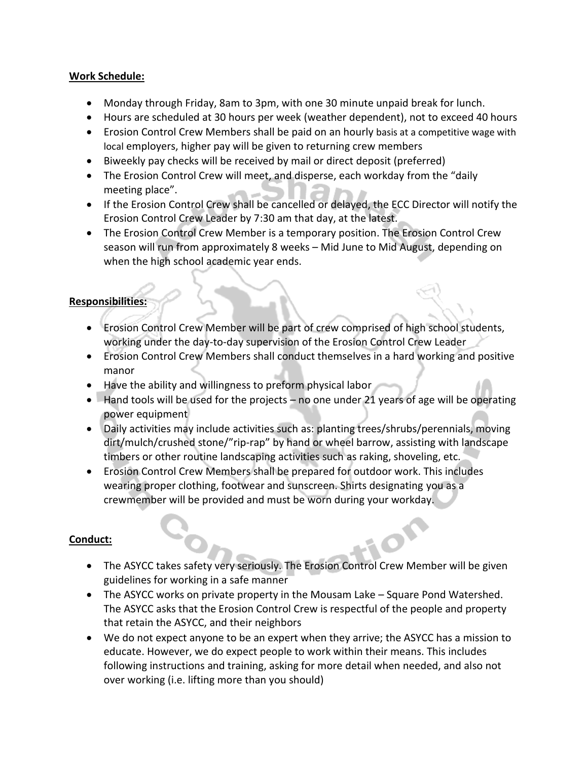#### **Work Schedule:**

- Monday through Friday, 8am to 3pm, with one 30 minute unpaid break for lunch.
- Hours are scheduled at 30 hours per week (weather dependent), not to exceed 40 hours
- Erosion Control Crew Members shall be paid on an hourly basis at a competitive wage with local employers, higher pay will be given to returning crew members
- Biweekly pay checks will be received by mail or direct deposit (preferred)
- The Erosion Control Crew will meet, and disperse, each workday from the "daily meeting place".
- If the Erosion Control Crew shall be cancelled or delayed, the ECC Director will notify the Erosion Control Crew Leader by 7:30 am that day, at the latest.
- The Erosion Control Crew Member is a temporary position. The Erosion Control Crew season will run from approximately 8 weeks – Mid June to Mid August, depending on when the high school academic year ends.

### **Responsibilities:**

- Erosion Control Crew Member will be part of crew comprised of high school students, working under the day-to-day supervision of the Erosion Control Crew Leader
- Erosion Control Crew Members shall conduct themselves in a hard working and positive manor
- Have the ability and willingness to preform physical labor
- Hand tools will be used for the projects no one under 21 years of age will be operating power equipment
- Daily activities may include activities such as: planting trees/shrubs/perennials, moving dirt/mulch/crushed stone/"rip-rap" by hand or wheel barrow, assisting with landscape timbers or other routine landscaping activities such as raking, shoveling, etc.
- Erosion Control Crew Members shall be prepared for outdoor work. This includes wearing proper clothing, footwear and sunscreen. Shirts designating you as a crewmember will be provided and must be worn during your workday.

#### **Conduct:**

- The ASYCC takes safety very seriously. The Erosion Control Crew Member will be given guidelines for working in a safe manner
- The ASYCC works on private property in the Mousam Lake Square Pond Watershed. The ASYCC asks that the Erosion Control Crew is respectful of the people and property that retain the ASYCC, and their neighbors
- We do not expect anyone to be an expert when they arrive; the ASYCC has a mission to educate. However, we do expect people to work within their means. This includes following instructions and training, asking for more detail when needed, and also not over working (i.e. lifting more than you should)